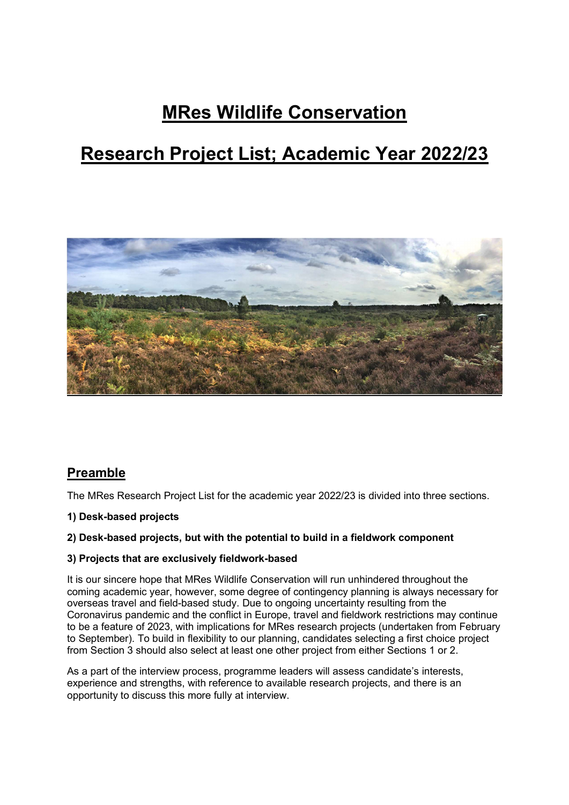# MRes Wildlife Conservation

# Research Project List; Academic Year 2022/23



## **Preamble**

The MRes Research Project List for the academic year 2022/23 is divided into three sections.

1) Desk-based projects

#### 2) Desk-based projects, but with the potential to build in a fieldwork component

#### 3) Projects that are exclusively fieldwork-based

It is our sincere hope that MRes Wildlife Conservation will run unhindered throughout the coming academic year, however, some degree of contingency planning is always necessary for overseas travel and field-based study. Due to ongoing uncertainty resulting from the Coronavirus pandemic and the conflict in Europe, travel and fieldwork restrictions may continue to be a feature of 2023, with implications for MRes research projects (undertaken from February to September). To build in flexibility to our planning, candidates selecting a first choice project from Section 3 should also select at least one other project from either Sections 1 or 2.

As a part of the interview process, programme leaders will assess candidate's interests, experience and strengths, with reference to available research projects, and there is an opportunity to discuss this more fully at interview.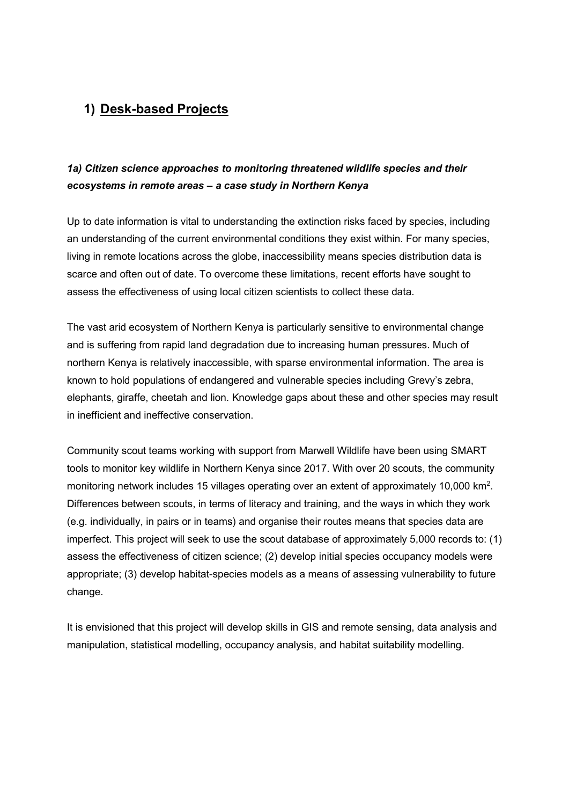# 1) Desk-based Projects

## 1a) Citizen science approaches to monitoring threatened wildlife species and their ecosystems in remote areas – a case study in Northern Kenya

Up to date information is vital to understanding the extinction risks faced by species, including an understanding of the current environmental conditions they exist within. For many species, living in remote locations across the globe, inaccessibility means species distribution data is scarce and often out of date. To overcome these limitations, recent efforts have sought to assess the effectiveness of using local citizen scientists to collect these data.

The vast arid ecosystem of Northern Kenya is particularly sensitive to environmental change and is suffering from rapid land degradation due to increasing human pressures. Much of northern Kenya is relatively inaccessible, with sparse environmental information. The area is known to hold populations of endangered and vulnerable species including Grevy's zebra, elephants, giraffe, cheetah and lion. Knowledge gaps about these and other species may result in inefficient and ineffective conservation.

Community scout teams working with support from Marwell Wildlife have been using SMART tools to monitor key wildlife in Northern Kenya since 2017. With over 20 scouts, the community monitoring network includes 15 villages operating over an extent of approximately 10,000 km<sup>2</sup>. Differences between scouts, in terms of literacy and training, and the ways in which they work (e.g. individually, in pairs or in teams) and organise their routes means that species data are imperfect. This project will seek to use the scout database of approximately 5,000 records to: (1) assess the effectiveness of citizen science; (2) develop initial species occupancy models were appropriate; (3) develop habitat-species models as a means of assessing vulnerability to future change.

It is envisioned that this project will develop skills in GIS and remote sensing, data analysis and manipulation, statistical modelling, occupancy analysis, and habitat suitability modelling.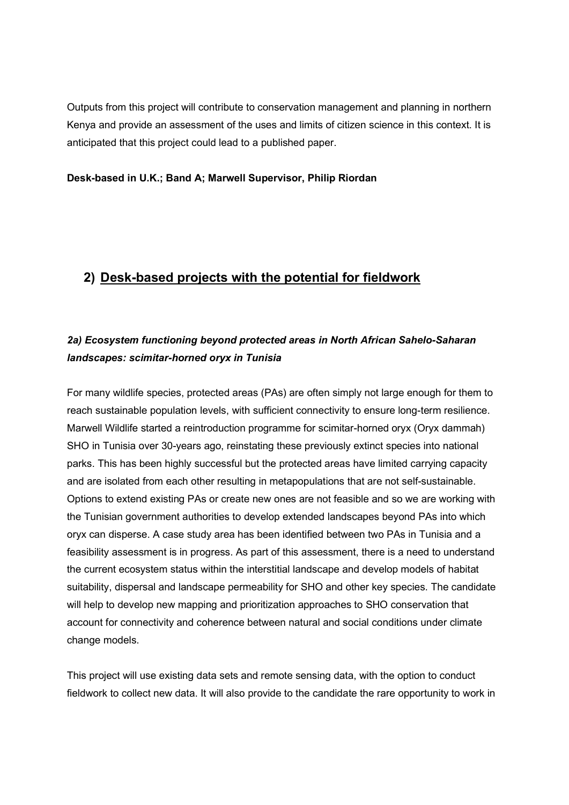Outputs from this project will contribute to conservation management and planning in northern Kenya and provide an assessment of the uses and limits of citizen science in this context. It is anticipated that this project could lead to a published paper.

#### Desk-based in U.K.; Band A; Marwell Supervisor, Philip Riordan

## 2) Desk-based projects with the potential for fieldwork

## 2a) Ecosystem functioning beyond protected areas in North African Sahelo-Saharan landscapes: scimitar-horned oryx in Tunisia

For many wildlife species, protected areas (PAs) are often simply not large enough for them to reach sustainable population levels, with sufficient connectivity to ensure long-term resilience. Marwell Wildlife started a reintroduction programme for scimitar-horned oryx (Oryx dammah) SHO in Tunisia over 30-years ago, reinstating these previously extinct species into national parks. This has been highly successful but the protected areas have limited carrying capacity and are isolated from each other resulting in metapopulations that are not self-sustainable. Options to extend existing PAs or create new ones are not feasible and so we are working with the Tunisian government authorities to develop extended landscapes beyond PAs into which oryx can disperse. A case study area has been identified between two PAs in Tunisia and a feasibility assessment is in progress. As part of this assessment, there is a need to understand the current ecosystem status within the interstitial landscape and develop models of habitat suitability, dispersal and landscape permeability for SHO and other key species. The candidate will help to develop new mapping and prioritization approaches to SHO conservation that account for connectivity and coherence between natural and social conditions under climate change models.

This project will use existing data sets and remote sensing data, with the option to conduct fieldwork to collect new data. It will also provide to the candidate the rare opportunity to work in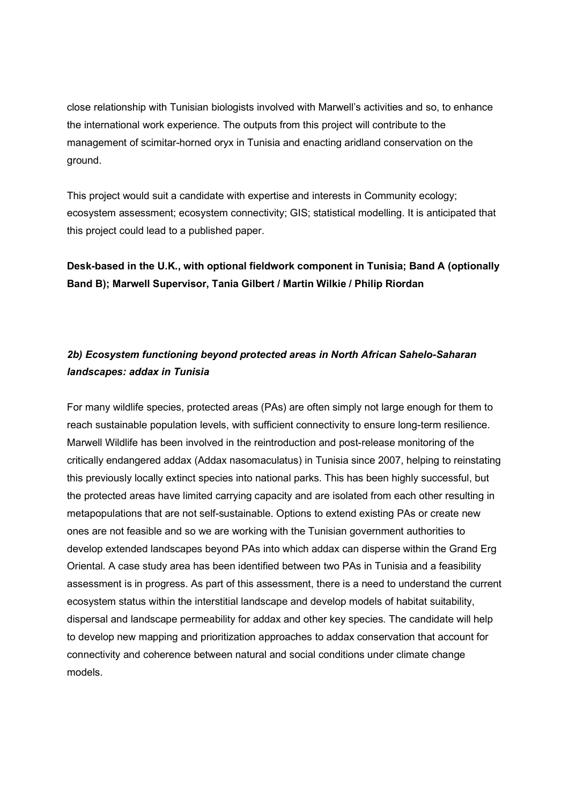close relationship with Tunisian biologists involved with Marwell's activities and so, to enhance the international work experience. The outputs from this project will contribute to the management of scimitar-horned oryx in Tunisia and enacting aridland conservation on the ground.

This project would suit a candidate with expertise and interests in Community ecology; ecosystem assessment; ecosystem connectivity; GIS; statistical modelling. It is anticipated that this project could lead to a published paper.

Desk-based in the U.K., with optional fieldwork component in Tunisia; Band A (optionally Band B); Marwell Supervisor, Tania Gilbert / Martin Wilkie / Philip Riordan

#### 2b) Ecosystem functioning beyond protected areas in North African Sahelo-Saharan landscapes: addax in Tunisia

For many wildlife species, protected areas (PAs) are often simply not large enough for them to reach sustainable population levels, with sufficient connectivity to ensure long-term resilience. Marwell Wildlife has been involved in the reintroduction and post-release monitoring of the critically endangered addax (Addax nasomaculatus) in Tunisia since 2007, helping to reinstating this previously locally extinct species into national parks. This has been highly successful, but the protected areas have limited carrying capacity and are isolated from each other resulting in metapopulations that are not self-sustainable. Options to extend existing PAs or create new ones are not feasible and so we are working with the Tunisian government authorities to develop extended landscapes beyond PAs into which addax can disperse within the Grand Erg Oriental. A case study area has been identified between two PAs in Tunisia and a feasibility assessment is in progress. As part of this assessment, there is a need to understand the current ecosystem status within the interstitial landscape and develop models of habitat suitability, dispersal and landscape permeability for addax and other key species. The candidate will help to develop new mapping and prioritization approaches to addax conservation that account for connectivity and coherence between natural and social conditions under climate change models.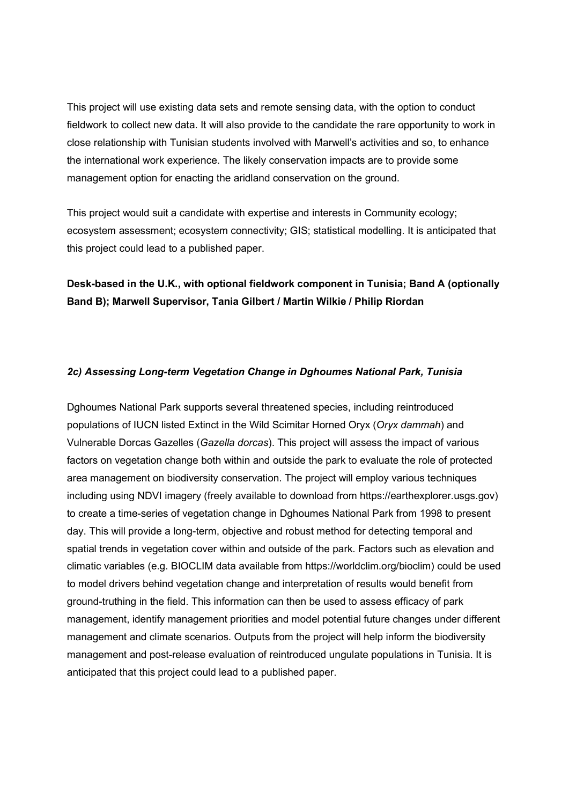This project will use existing data sets and remote sensing data, with the option to conduct fieldwork to collect new data. It will also provide to the candidate the rare opportunity to work in close relationship with Tunisian students involved with Marwell's activities and so, to enhance the international work experience. The likely conservation impacts are to provide some management option for enacting the aridland conservation on the ground.

This project would suit a candidate with expertise and interests in Community ecology; ecosystem assessment; ecosystem connectivity; GIS; statistical modelling. It is anticipated that this project could lead to a published paper.

Desk-based in the U.K., with optional fieldwork component in Tunisia; Band A (optionally Band B); Marwell Supervisor, Tania Gilbert / Martin Wilkie / Philip Riordan

#### 2c) Assessing Long-term Vegetation Change in Dghoumes National Park, Tunisia

Dghoumes National Park supports several threatened species, including reintroduced populations of IUCN listed Extinct in the Wild Scimitar Horned Oryx (Oryx dammah) and Vulnerable Dorcas Gazelles (Gazella dorcas). This project will assess the impact of various factors on vegetation change both within and outside the park to evaluate the role of protected area management on biodiversity conservation. The project will employ various techniques including using NDVI imagery (freely available to download from https://earthexplorer.usgs.gov) to create a time-series of vegetation change in Dghoumes National Park from 1998 to present day. This will provide a long-term, objective and robust method for detecting temporal and spatial trends in vegetation cover within and outside of the park. Factors such as elevation and climatic variables (e.g. BIOCLIM data available from https://worldclim.org/bioclim) could be used to model drivers behind vegetation change and interpretation of results would benefit from ground-truthing in the field. This information can then be used to assess efficacy of park management, identify management priorities and model potential future changes under different management and climate scenarios. Outputs from the project will help inform the biodiversity management and post-release evaluation of reintroduced ungulate populations in Tunisia. It is anticipated that this project could lead to a published paper.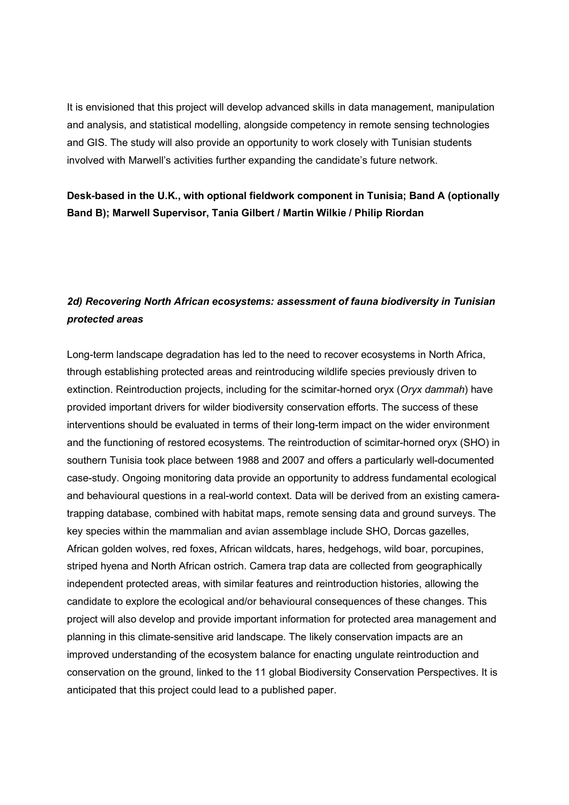It is envisioned that this project will develop advanced skills in data management, manipulation and analysis, and statistical modelling, alongside competency in remote sensing technologies and GIS. The study will also provide an opportunity to work closely with Tunisian students involved with Marwell's activities further expanding the candidate's future network.

Desk-based in the U.K., with optional fieldwork component in Tunisia; Band A (optionally Band B); Marwell Supervisor, Tania Gilbert / Martin Wilkie / Philip Riordan

## 2d) Recovering North African ecosystems: assessment of fauna biodiversity in Tunisian protected areas

Long-term landscape degradation has led to the need to recover ecosystems in North Africa, through establishing protected areas and reintroducing wildlife species previously driven to extinction. Reintroduction projects, including for the scimitar-horned oryx (Oryx dammah) have provided important drivers for wilder biodiversity conservation efforts. The success of these interventions should be evaluated in terms of their long-term impact on the wider environment and the functioning of restored ecosystems. The reintroduction of scimitar-horned oryx (SHO) in southern Tunisia took place between 1988 and 2007 and offers a particularly well-documented case-study. Ongoing monitoring data provide an opportunity to address fundamental ecological and behavioural questions in a real-world context. Data will be derived from an existing cameratrapping database, combined with habitat maps, remote sensing data and ground surveys. The key species within the mammalian and avian assemblage include SHO, Dorcas gazelles, African golden wolves, red foxes, African wildcats, hares, hedgehogs, wild boar, porcupines, striped hyena and North African ostrich. Camera trap data are collected from geographically independent protected areas, with similar features and reintroduction histories, allowing the candidate to explore the ecological and/or behavioural consequences of these changes. This project will also develop and provide important information for protected area management and planning in this climate-sensitive arid landscape. The likely conservation impacts are an improved understanding of the ecosystem balance for enacting ungulate reintroduction and conservation on the ground, linked to the 11 global Biodiversity Conservation Perspectives. It is anticipated that this project could lead to a published paper.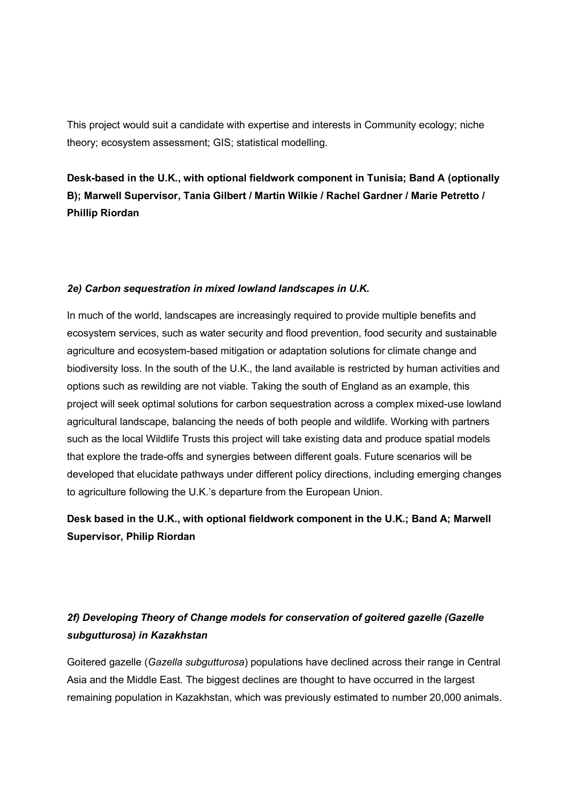This project would suit a candidate with expertise and interests in Community ecology; niche theory; ecosystem assessment; GIS; statistical modelling.

Desk-based in the U.K., with optional fieldwork component in Tunisia; Band A (optionally B); Marwell Supervisor, Tania Gilbert / Martin Wilkie / Rachel Gardner / Marie Petretto / Phillip Riordan

#### 2e) Carbon sequestration in mixed lowland landscapes in U.K.

In much of the world, landscapes are increasingly required to provide multiple benefits and ecosystem services, such as water security and flood prevention, food security and sustainable agriculture and ecosystem-based mitigation or adaptation solutions for climate change and biodiversity loss. In the south of the U.K., the land available is restricted by human activities and options such as rewilding are not viable. Taking the south of England as an example, this project will seek optimal solutions for carbon sequestration across a complex mixed-use lowland agricultural landscape, balancing the needs of both people and wildlife. Working with partners such as the local Wildlife Trusts this project will take existing data and produce spatial models that explore the trade-offs and synergies between different goals. Future scenarios will be developed that elucidate pathways under different policy directions, including emerging changes to agriculture following the U.K.'s departure from the European Union.

## Desk based in the U.K., with optional fieldwork component in the U.K.; Band A; Marwell Supervisor, Philip Riordan

## 2f) Developing Theory of Change models for conservation of goitered gazelle (Gazelle subgutturosa) in Kazakhstan

Goitered gazelle (Gazella subgutturosa) populations have declined across their range in Central Asia and the Middle East. The biggest declines are thought to have occurred in the largest remaining population in Kazakhstan, which was previously estimated to number 20,000 animals.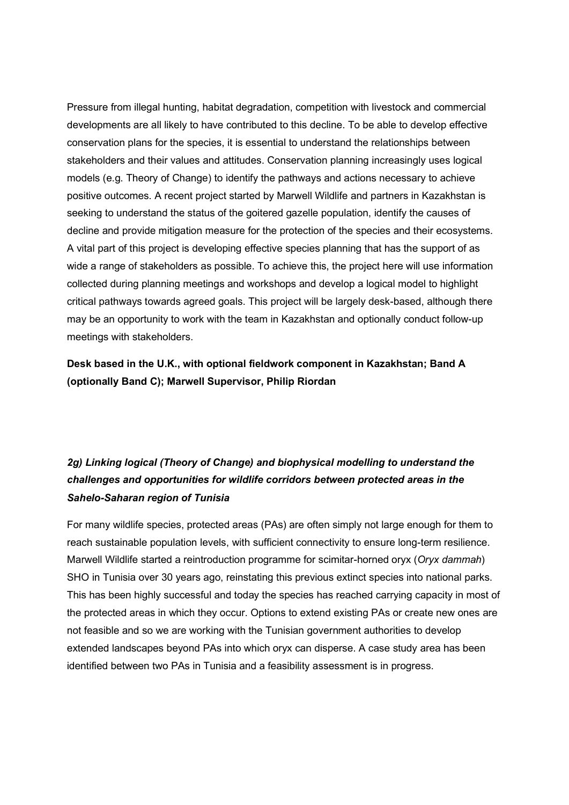Pressure from illegal hunting, habitat degradation, competition with livestock and commercial developments are all likely to have contributed to this decline. To be able to develop effective conservation plans for the species, it is essential to understand the relationships between stakeholders and their values and attitudes. Conservation planning increasingly uses logical models (e.g. Theory of Change) to identify the pathways and actions necessary to achieve positive outcomes. A recent project started by Marwell Wildlife and partners in Kazakhstan is seeking to understand the status of the goitered gazelle population, identify the causes of decline and provide mitigation measure for the protection of the species and their ecosystems. A vital part of this project is developing effective species planning that has the support of as wide a range of stakeholders as possible. To achieve this, the project here will use information collected during planning meetings and workshops and develop a logical model to highlight critical pathways towards agreed goals. This project will be largely desk-based, although there may be an opportunity to work with the team in Kazakhstan and optionally conduct follow-up meetings with stakeholders.

Desk based in the U.K., with optional fieldwork component in Kazakhstan; Band A (optionally Band C); Marwell Supervisor, Philip Riordan

## 2g) Linking logical (Theory of Change) and biophysical modelling to understand the challenges and opportunities for wildlife corridors between protected areas in the Sahelo-Saharan region of Tunisia

For many wildlife species, protected areas (PAs) are often simply not large enough for them to reach sustainable population levels, with sufficient connectivity to ensure long-term resilience. Marwell Wildlife started a reintroduction programme for scimitar-horned oryx (Oryx dammah) SHO in Tunisia over 30 years ago, reinstating this previous extinct species into national parks. This has been highly successful and today the species has reached carrying capacity in most of the protected areas in which they occur. Options to extend existing PAs or create new ones are not feasible and so we are working with the Tunisian government authorities to develop extended landscapes beyond PAs into which oryx can disperse. A case study area has been identified between two PAs in Tunisia and a feasibility assessment is in progress.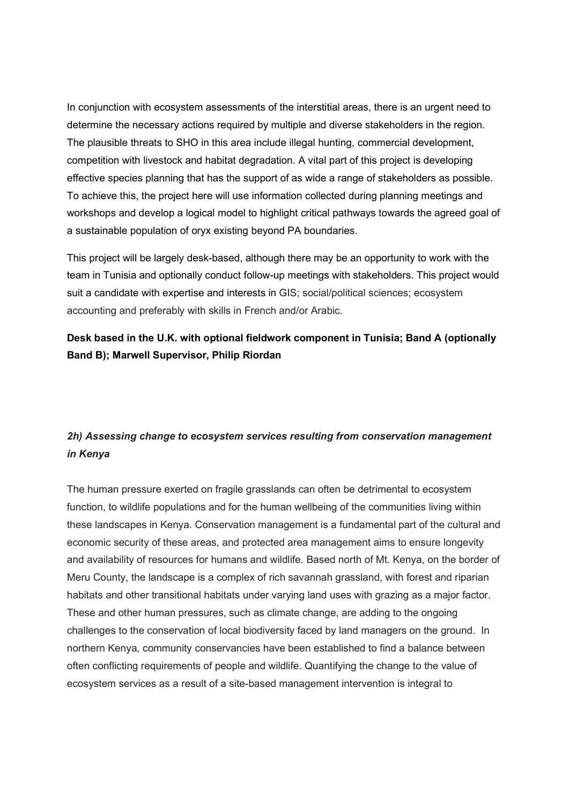In conjunction with ecosystem assessments of the interstitial areas, there is an urgent need to determine the necessary actions required by multiple and diverse stakeholders in the region. The plausible threats to SHO in this area include illegal hunting, commercial development, competition with livestock and habitat degradation. A vital part of this project is developing effective species planning that has the support of as wide a range of stakeholders as possible. To achieve this, the project here will use information collected during planning meetings and workshops and develop a logical model to highlight critical pathways towards the agreed goal of a sustainable population of oryx existing beyond PA boundaries.

This project will be largely desk-based, although there may be an opportunity to work with the team in Tunisia and optionally conduct follow-up meetings with stakeholders. This project would suit a candidate with expertise and interests in GIS; social/political sciences; ecosystem accounting and preferably with skills in French and/or Arabic.

#### Desk based in the U.K. with optional fieldwork component in Tunisia; Band A (optionally Band B); Marwell Supervisor, Philip Riordan

## 2h) Assessing change to ecosystem services resulting from conservation management in Kenya

The human pressure exerted on fragile grasslands can often be detrimental to ecosystem function, to wildlife populations and for the human wellbeing of the communities living within these landscapes in Kenya. Conservation management is a fundamental part of the cultural and economic security of these areas, and protected area management aims to ensure longevity and availability of resources for humans and wildlife. Based north of Mt. Kenya, on the border of Meru County, the landscape is a complex of rich savannah grassland, with forest and riparian habitats and other transitional habitats under varying land uses with grazing as a major factor. These and other human pressures, such as climate change, are adding to the ongoing challenges to the conservation of local biodiversity faced by land managers on the ground. In northern Kenya, community conservancies have been established to find a balance between often conflicting requirements of people and wildlife. Quantifying the change to the value of ecosystem services as a result of a site-based management intervention is integral to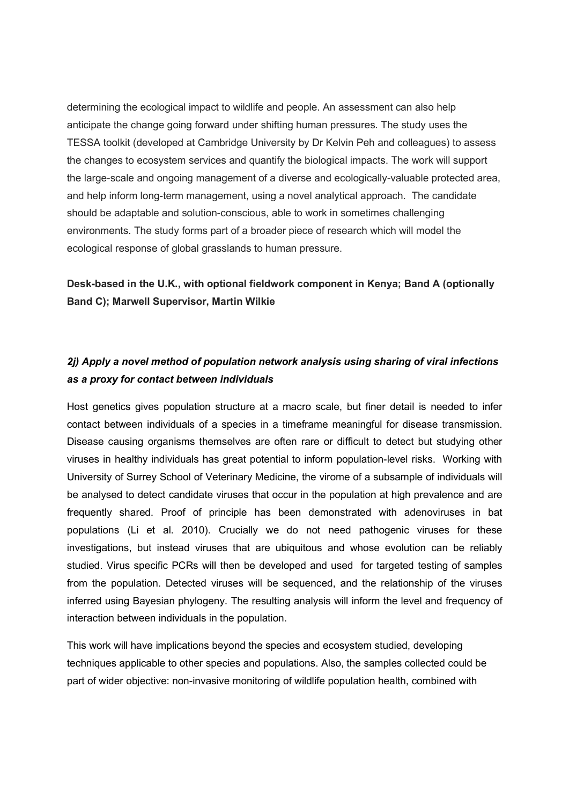determining the ecological impact to wildlife and people. An assessment can also help anticipate the change going forward under shifting human pressures. The study uses the TESSA toolkit (developed at Cambridge University by Dr Kelvin Peh and colleagues) to assess the changes to ecosystem services and quantify the biological impacts. The work will support the large-scale and ongoing management of a diverse and ecologically-valuable protected area, and help inform long-term management, using a novel analytical approach. The candidate should be adaptable and solution-conscious, able to work in sometimes challenging environments. The study forms part of a broader piece of research which will model the ecological response of global grasslands to human pressure.

#### Desk-based in the U.K., with optional fieldwork component in Kenya; Band A (optionally Band C); Marwell Supervisor, Martin Wilkie

#### 2j) Apply a novel method of population network analysis using sharing of viral infections as a proxy for contact between individuals

Host genetics gives population structure at a macro scale, but finer detail is needed to infer contact between individuals of a species in a timeframe meaningful for disease transmission. Disease causing organisms themselves are often rare or difficult to detect but studying other viruses in healthy individuals has great potential to inform population-level risks. Working with University of Surrey School of Veterinary Medicine, the virome of a subsample of individuals will be analysed to detect candidate viruses that occur in the population at high prevalence and are frequently shared. Proof of principle has been demonstrated with adenoviruses in bat populations (Li et al. 2010). Crucially we do not need pathogenic viruses for these investigations, but instead viruses that are ubiquitous and whose evolution can be reliably studied. Virus specific PCRs will then be developed and used for targeted testing of samples from the population. Detected viruses will be sequenced, and the relationship of the viruses inferred using Bayesian phylogeny. The resulting analysis will inform the level and frequency of interaction between individuals in the population.

This work will have implications beyond the species and ecosystem studied, developing techniques applicable to other species and populations. Also, the samples collected could be part of wider objective: non-invasive monitoring of wildlife population health, combined with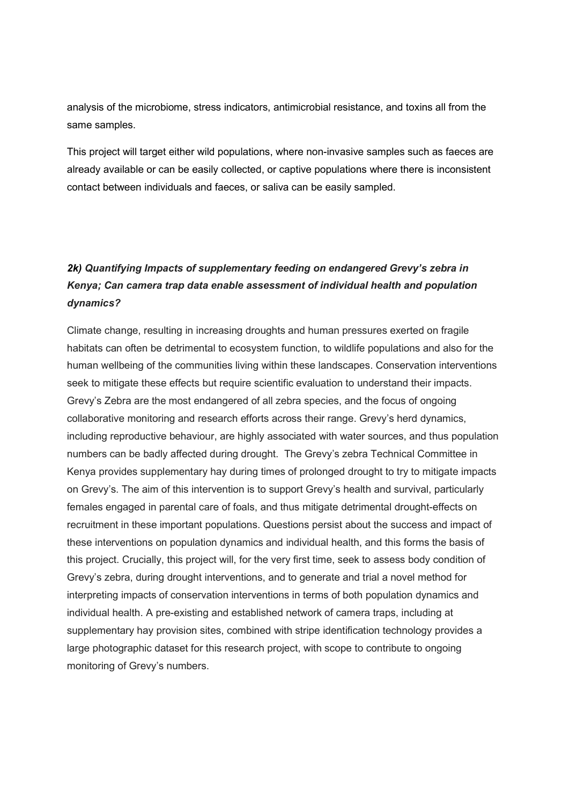analysis of the microbiome, stress indicators, antimicrobial resistance, and toxins all from the same samples.

This project will target either wild populations, where non-invasive samples such as faeces are already available or can be easily collected, or captive populations where there is inconsistent contact between individuals and faeces, or saliva can be easily sampled.

# 2k) Quantifying Impacts of supplementary feeding on endangered Grevy's zebra in Kenya; Can camera trap data enable assessment of individual health and population dynamics?

Climate change, resulting in increasing droughts and human pressures exerted on fragile habitats can often be detrimental to ecosystem function, to wildlife populations and also for the human wellbeing of the communities living within these landscapes. Conservation interventions seek to mitigate these effects but require scientific evaluation to understand their impacts. Grevy's Zebra are the most endangered of all zebra species, and the focus of ongoing collaborative monitoring and research efforts across their range. Grevy's herd dynamics, including reproductive behaviour, are highly associated with water sources, and thus population numbers can be badly affected during drought. The Grevy's zebra Technical Committee in Kenya provides supplementary hay during times of prolonged drought to try to mitigate impacts on Grevy's. The aim of this intervention is to support Grevy's health and survival, particularly females engaged in parental care of foals, and thus mitigate detrimental drought-effects on recruitment in these important populations. Questions persist about the success and impact of these interventions on population dynamics and individual health, and this forms the basis of this project. Crucially, this project will, for the very first time, seek to assess body condition of Grevy's zebra, during drought interventions, and to generate and trial a novel method for interpreting impacts of conservation interventions in terms of both population dynamics and individual health. A pre-existing and established network of camera traps, including at supplementary hay provision sites, combined with stripe identification technology provides a large photographic dataset for this research project, with scope to contribute to ongoing monitoring of Grevy's numbers.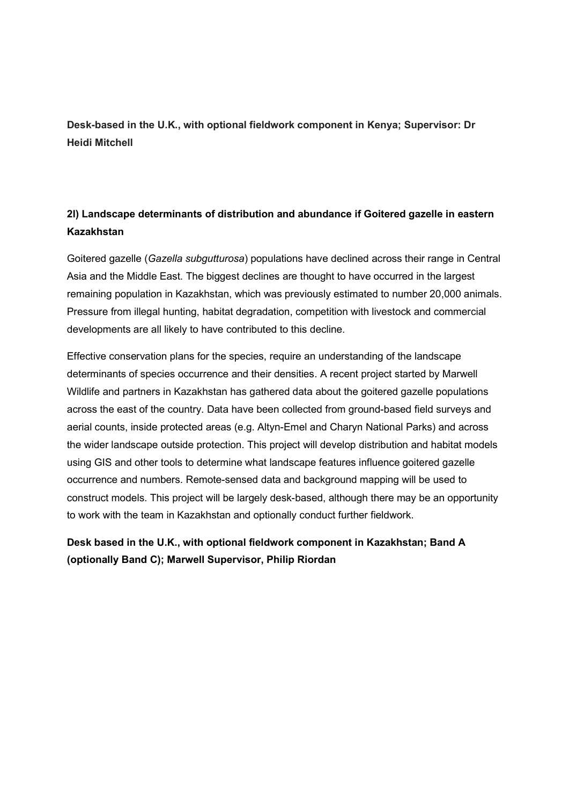Desk-based in the U.K., with optional fieldwork component in Kenya; Supervisor: Dr Heidi Mitchell

#### 2l) Landscape determinants of distribution and abundance if Goitered gazelle in eastern Kazakhstan

Goitered gazelle (Gazella subgutturosa) populations have declined across their range in Central Asia and the Middle East. The biggest declines are thought to have occurred in the largest remaining population in Kazakhstan, which was previously estimated to number 20,000 animals. Pressure from illegal hunting, habitat degradation, competition with livestock and commercial developments are all likely to have contributed to this decline.

Effective conservation plans for the species, require an understanding of the landscape determinants of species occurrence and their densities. A recent project started by Marwell Wildlife and partners in Kazakhstan has gathered data about the goitered gazelle populations across the east of the country. Data have been collected from ground-based field surveys and aerial counts, inside protected areas (e.g. Altyn-Emel and Charyn National Parks) and across the wider landscape outside protection. This project will develop distribution and habitat models using GIS and other tools to determine what landscape features influence goitered gazelle occurrence and numbers. Remote-sensed data and background mapping will be used to construct models. This project will be largely desk-based, although there may be an opportunity to work with the team in Kazakhstan and optionally conduct further fieldwork.

## Desk based in the U.K., with optional fieldwork component in Kazakhstan; Band A (optionally Band C); Marwell Supervisor, Philip Riordan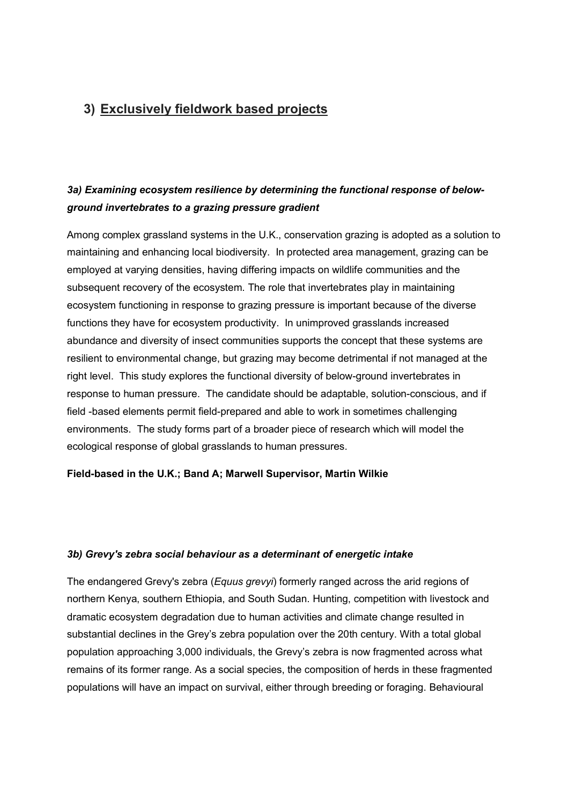# 3) Exclusively fieldwork based projects

## 3a) Examining ecosystem resilience by determining the functional response of belowground invertebrates to a grazing pressure gradient

Among complex grassland systems in the U.K., conservation grazing is adopted as a solution to maintaining and enhancing local biodiversity. In protected area management, grazing can be employed at varying densities, having differing impacts on wildlife communities and the subsequent recovery of the ecosystem. The role that invertebrates play in maintaining ecosystem functioning in response to grazing pressure is important because of the diverse functions they have for ecosystem productivity. In unimproved grasslands increased abundance and diversity of insect communities supports the concept that these systems are resilient to environmental change, but grazing may become detrimental if not managed at the right level. This study explores the functional diversity of below-ground invertebrates in response to human pressure. The candidate should be adaptable, solution-conscious, and if field -based elements permit field-prepared and able to work in sometimes challenging environments. The study forms part of a broader piece of research which will model the ecological response of global grasslands to human pressures.

#### Field-based in the U.K.; Band A; Marwell Supervisor, Martin Wilkie

#### 3b) Grevy's zebra social behaviour as a determinant of energetic intake

The endangered Grevy's zebra (Equus grevyi) formerly ranged across the arid regions of northern Kenya, southern Ethiopia, and South Sudan. Hunting, competition with livestock and dramatic ecosystem degradation due to human activities and climate change resulted in substantial declines in the Grey's zebra population over the 20th century. With a total global population approaching 3,000 individuals, the Grevy's zebra is now fragmented across what remains of its former range. As a social species, the composition of herds in these fragmented populations will have an impact on survival, either through breeding or foraging. Behavioural